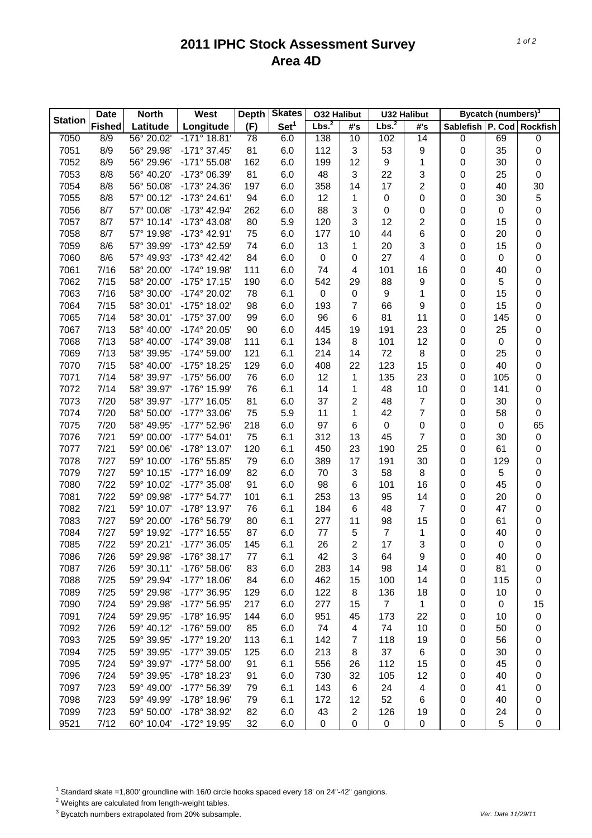## **2011 IPHC Stock Assessment Survey Area 4D**

|                | <b>Date</b>   | <b>North</b> | <b>West</b>           | <b>Depth</b> | <b>Skates</b>    | <b>O32 Halibut</b> |                  |                   | <b>U32 Halibut</b> |                  | Bycatch (numbers) <sup>3</sup> |                  |
|----------------|---------------|--------------|-----------------------|--------------|------------------|--------------------|------------------|-------------------|--------------------|------------------|--------------------------------|------------------|
| <b>Station</b> | <b>Fished</b> | Latitude     | Longitude             | (F)          | Set <sup>1</sup> | Lbs. <sup>2</sup>  | #'s              | Lbs. <sup>2</sup> | #'s                | <b>Sablefish</b> |                                | P. Cod Rockfish  |
| 7050           | 8/9           | 56° 20.02'   | $-171^{\circ}$ 18.81' | 78           | 6.0              | 138                | 10               | 102               | 14                 | 0                | 69                             | $\boldsymbol{0}$ |
| 7051           | 8/9           | 56° 29.98'   | $-171°37.45'$         | 81           | 6.0              | 112                | 3                | 53                | 9                  | 0                | 35                             | 0                |
| 7052           | 8/9           | 56° 29.96'   | $-171°55.08'$         | 162          | 6.0              | 199                | 12               | $\boldsymbol{9}$  | 1                  | 0                | 30                             | $\boldsymbol{0}$ |
| 7053           | 8/8           | 56° 40.20'   | -173° 06.39'          | 81           | 6.0              | 48                 | 3                | 22                | 3                  | 0                | 25                             | $\boldsymbol{0}$ |
| 7054           | 8/8           | 56° 50.08'   | -173° 24.36'          | 197          | 6.0              | 358                | 14               | 17                | $\overline{c}$     | 0                | 40                             | 30               |
| 7055           | 8/8           | 57° 00.12'   | -173° 24.61'          | 94           | 6.0              | 12                 | 1                | $\pmb{0}$         | 0                  | 0                | 30                             | 5                |
| 7056           | 8/7           | 57° 00.08'   | -173° 42.94'          | 262          | 6.0              | 88                 | 3                | 0                 | 0                  | 0                | 0                              | 0                |
| 7057           | 8/7           | 57° 10.14'   | -173° 43.08'          | 80           | 5.9              | 120                | 3                | 12                | $\overline{c}$     | 0                | 15                             | 0                |
| 7058           | 8/7           | 57° 19.98'   | -173° 42.91'          | 75           | 6.0              | 177                | 10               | 44                | 6                  | 0                | 20                             | 0                |
| 7059           | 8/6           | 57° 39.99'   | -173° 42.59'          | 74           | 6.0              | 13                 | 1                | 20                | 3                  | 0                | 15                             | 0                |
| 7060           | 8/6           | 57° 49.93'   | $-173^{\circ}$ 42.42' | 84           | 6.0              | 0                  | 0                | 27                | 4                  | 0                | 0                              | 0                |
| 7061           | 7/16          | 58° 20.00'   | -174° 19.98'          | 111          | 6.0              | 74                 | 4                | 101               | 16                 | 0                | 40                             | 0                |
| 7062           | 7/15          | 58° 20.00'   | $-175°$ 17.15'        | 190          | 6.0              | 542                | 29               | 88                | 9                  | 0                | 5                              | 0                |
| 7063           | 7/16          | 58° 30.00'   | -174° 20.02'          | 78           | 6.1              | 0                  | $\boldsymbol{0}$ | 9                 | 1                  | 0                | 15                             | 0                |
| 7064           | 7/15          | 58° 30.01'   | -175° 18.02'          | 98           | 6.0              | 193                | 7                | 66                | 9                  | 0                | 15                             | 0                |
| 7065           | 7/14          | 58° 30.01'   | -175° 37.00'          | 99           | 6.0              | 96                 | 6                | 81                | 11                 | 0                | 145                            | 0                |
| 7067           | 7/13          | 58° 40.00'   | -174° 20.05'          | 90           | 6.0              | 445                | 19               | 191               | 23                 | 0                | 25                             | 0                |
| 7068           | 7/13          | 58° 40.00'   | -174° 39.08'          | 111          | 6.1              | 134                | 8                | 101               | 12                 | 0                | 0                              | 0                |
| 7069           | 7/13          | 58° 39.95'   | -174° 59.00'          | 121          | 6.1              | 214                | 14               | 72                | 8                  | 0                | 25                             | 0                |
| 7070           | 7/15          | 58° 40.00'   | -175° 18.25'          | 129          | 6.0              | 408                | 22               | 123               | 15                 | 0                | 40                             | 0                |
| 7071           | 7/14          | 58° 39.97'   | $-175°56.00'$         | 76           | 6.0              | 12                 | 1                | 135               | 23                 | 0                | 105                            | 0                |
| 7072           | 7/14          | 58° 39.97'   | -176° 15.99'          | 76           | 6.1              | 14                 | 1                | 48                | 10                 | 0                | 141                            | 0                |
| 7073           | 7/20          | 58° 39.97'   | -177° 16.05'          | 81           | 6.0              | 37                 | 2                | 48                | $\overline{7}$     | 0                | 30                             | 0                |
| 7074           | 7/20          | 58° 50.00'   | -177° 33.06'          | 75           | 5.9              | 11                 | 1                | 42                | $\overline{7}$     | 0                | 58                             | 0                |
| 7075           | 7/20          | 58° 49.95'   | -177° 52.96'          | 218          | 6.0              | 97                 | 6                | $\pmb{0}$         | 0                  | 0                | 0                              | 65               |
| 7076           | 7/21          | 59° 00.00'   | $-177^{\circ} 54.01'$ | 75           | 6.1              | 312                | 13               | 45                | $\overline{7}$     | 0                | 30                             | $\mathbf 0$      |
| 7077           | 7/21          | 59° 00.06'   | -178° 13.07'          | 120          | 6.1              | 450                | 23               | 190               | 25                 | 0                | 61                             | 0                |
| 7078           | 7/27          | 59° 10.00'   | -176° 55.85'          | 79           | 6.0              | 389                | 17               | 191               | 30                 | 0                | 129                            | 0                |
| 7079           | 7/27          | 59° 10.15'   | -177° 16.09'          | 82           | 6.0              | 70                 | 3                | 58                | 8                  | 0                | 5                              | 0                |
| 7080           | 7/22          | 59° 10.02'   | -177° 35.08'          | 91           | 6.0              | 98                 | 6                | 101               | 16                 | 0                | 45                             | 0                |
| 7081           | 7/22          | 59° 09.98'   | $-177^{\circ} 54.77'$ | 101          | 6.1              | 253                | 13               | 95                | 14                 | 0                | 20                             | 0                |
| 7082           | 7/21          | 59° 10.07'   | -178° 13.97'          | 76           | 6.1              | 184                | 6                | 48                | $\overline{7}$     | 0                | 47                             | 0                |
| 7083           | 7/27          | 59° 20.00'   | -176° 56.79'          | 80           | 6.1              | 277                | 11               | 98                | 15                 | 0                | 61                             | 0                |
| 7084           | 7/27          | 59° 19.92'   | -177° 16.55'          | 87           | 6.0              | 77                 | 5                | $\overline{7}$    | 1                  | 0                | 40                             | 0                |
| 7085           | 7/22          | 59° 20.21'   | -177° 36.05'          | 145          | 6.1              | 26                 | 2                | 17                | 3                  | 0                | 0                              | 0                |
| 7086           | 7/26          | 59° 29.98'   | $-176°38.17'$         | 77           | 6.1              | 42                 | 3                | 64                | 9                  | 0                | 40                             | 0                |
| 7087           | 7/26          | 59° 30.11'   | -176° 58.06'          | 83           | 6.0              | 283                | 14               | 98                | 14                 | 0                | 81                             | 0                |
| 7088           | 7/25          | 59° 29.94'   | $-177^{\circ}$ 18.06' | 84           | 6.0              | 462                | 15               | 100               | 14                 | 0                | 115                            | 0                |
| 7089           | 7/25          | 59° 29.98'   | -177° 36.95'          | 129          | 6.0              | 122                | 8                | 136               | 18                 | 0                | 10                             | 0                |
| 7090           | 7/24          | 59° 29.98'   | -177° 56.95'          | 217          | 6.0              | 277                | 15               | $\overline{7}$    | $\mathbf{1}$       | 0                | $\boldsymbol{0}$               | 15               |
| 7091           | 7/24          | 59° 29.95'   | -178° 16.95'          | 144          | 6.0              | 951                | 45               | 173               | 22                 | 0                | 10                             | $\pmb{0}$        |
| 7092           | 7/26          | 59° 40.12'   | -176° 59.00'          | 85           | 6.0              | 74                 | 4                | 74                | 10                 | 0                | 50                             | 0                |
| 7093           | 7/25          | 59° 39.95'   | -177° 19.20'          | 113          | 6.1              | 142                | $\overline{7}$   | 118               | 19                 | 0                | 56                             | 0                |
| 7094           | 7/25          | 59° 39.95'   | -177° 39.05'          | 125          | 6.0              | 213                | 8                | 37                | 6                  | 0                | 30                             | 0                |
| 7095           | 7/24          | 59° 39.97'   | -177° 58.00'          | 91           | 6.1              | 556                | 26               | 112               | 15                 | 0                | 45                             | 0                |
| 7096           | 7/24          | 59° 39.95'   | -178° 18.23'          | 91           | 6.0              | 730                | 32               | 105               | 12                 | 0                | 40                             | 0                |
| 7097           | 7/23          | 59° 49.00'   | -177° 56.39'          | 79           | 6.1              | 143                | 6                | 24                | 4                  | 0                | 41                             | 0                |
| 7098           | 7/23          | 59° 49.99'   | -178° 18.96'          | 79           | 6.1              | 172                | 12               | 52                | 6                  | 0                | 40                             | 0                |
| 7099           | 7/23          | 59° 50.00'   | -178° 38.92'          | 82           | 6.0              | 43                 | $\overline{c}$   | 126               | 19                 | 0                | 24                             | 0                |
| 9521           | 7/12          | 60° 10.04'   | -172° 19.95'          | 32           | 6.0              | 0                  | 0                | $\pmb{0}$         | 0                  | $\pmb{0}$        | 5                              | 0                |
|                |               |              |                       |              |                  |                    |                  |                   |                    |                  |                                |                  |

<sup>1</sup> Standard skate =1,800' groundline with 16/0 circle hooks spaced every 18' on 24"-42" gangions.

2 Weights are calculated from length-weight tables.

3 Bycatch numbers extrapolated from 20% subsample. *Ver. Date 11/29/11*